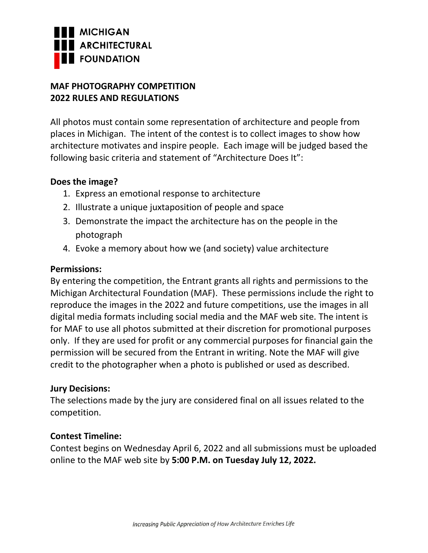

# **MAF PHOTOGRAPHY COMPETITION 2022 RULES AND REGULATIONS**

All photos must contain some representation of architecture and people from places in Michigan. The intent of the contest is to collect images to show how architecture motivates and inspire people. Each image will be judged based the following basic criteria and statement of "Architecture Does It":

### **Does the image?**

- 1. Express an emotional response to architecture
- 2. Illustrate a unique juxtaposition of people and space
- 3. Demonstrate the impact the architecture has on the people in the photograph
- 4. Evoke a memory about how we (and society) value architecture

### **Permissions:**

By entering the competition, the Entrant grants all rights and permissions to the Michigan Architectural Foundation (MAF). These permissions include the right to reproduce the images in the 2022 and future competitions, use the images in all digital media formats including social media and the MAF web site. The intent is for MAF to use all photos submitted at their discretion for promotional purposes only. If they are used for profit or any commercial purposes for financial gain the permission will be secured from the Entrant in writing. Note the MAF will give credit to the photographer when a photo is published or used as described.

# **Jury Decisions:**

The selections made by the jury are considered final on all issues related to the competition.

# **Contest Timeline:**

Contest begins on Wednesday April 6, 2022 and all submissions must be uploaded online to the MAF web site by **5:00 P.M. on Tuesday July 12, 2022.**